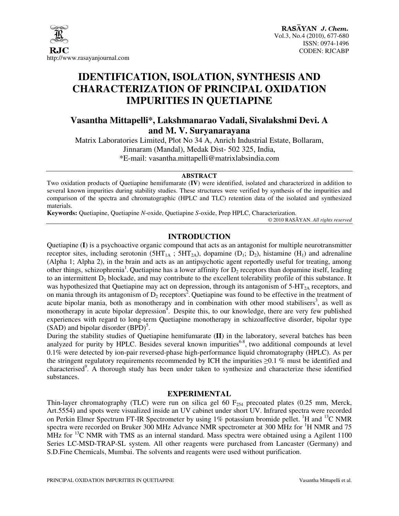

# **IDENTIFICATION, ISOLATION, SYNTHESIS AND CHARACTERIZATION OF PRINCIPAL OXIDATION IMPURITIES IN QUETIAPINE**

# **Vasantha Mittapelli\*, Lakshmanarao Vadali, Sivalakshmi Devi. A and M. V. Suryanarayana**

Matrix Laboratories Limited, Plot No 34 A, Anrich Industrial Estate, Bollaram, Jinnaram (Mandal), Medak Dist- 502 325, India, \*E-mail: vasantha.mittapelli@matrixlabsindia.com

#### **ABSTRACT**

Two oxidation products of Quetiapine hemifumarate (**IV**) were identified, isolated and characterized in addition to several known impurities during stability studies. These structures were verified by synthesis of the impurities and comparison of the spectra and chromatographic (HPLC and TLC) retention data of the isolated and synthesized materials.

**Keywords:** Quetiapine, Quetiapine *N*-oxide, Quetiapine *S*-oxide, Prep HPLC, Characterization.

© 2010 RASĀYAN. *All rights reserved* 

## **INTRODUCTION**

Quetiapine (**I**) is a psychoactive organic compound that acts as an antagonist for multiple neurotransmitter receptor sites, including serotonin ( $5HT_{1A}$ ;  $5HT_{2A}$ ), dopamine (D<sub>1</sub>; D<sub>2</sub>), histamine (H<sub>1</sub>) and adrenaline (Alpha 1; Alpha 2), in the brain and acts as an antipsychotic agent reportedly useful for treating, among other things, schizophrenia<sup>1</sup>. Quetiapine has a lower affinity for  $D_2$  receptors than dopamine itself, leading to an intermittent  $D_2$  blockade, and may contribute to the excellent tolerability profile of this substance. It was hypothesized that Quetiapine may act on depression, through its antagonism of  $5-HT_{2A}$  receptors, and on mania through its antagonism of  $D_2$  receptors<sup>2</sup>. Quetiapine was found to be effective in the treatment of acute bipolar mania, both as monotherapy and in combination with other mood stabilisers<sup>3</sup>, as well as monotherapy in acute bipolar depression<sup>4</sup>. Despite this, to our knowledge, there are very few published experiences with regard to long-term Quetiapine monotherapy in schizoaffective disorder, bipolar type  $(SAD)$  and bipolar disorder  $(BPD)^5$ .

During the stability studies of Quetiapine hemifumarate (**II**) in the laboratory, several batches has been analyzed for purity by HPLC. Besides several known impurities<sup>6-8</sup>, two additional compounds at level 0.1% were detected by ion-pair reversed-phase high-performance liquid chromatography (HPLC). As per the stringent regulatory requirements recommended by ICH the impurities  $\geq 0.1$  % must be identified and characterised<sup>9</sup>. A thorough study has been under taken to synthesize and characterize these identified substances.

#### **EXPERIMENTAL**

Thin-layer chromatography (TLC) were run on silica gel 60  $F<sub>254</sub>$  precoated plates (0.25 mm, Merck, Art.5554) and spots were visualized inside an UV cabinet under short UV. Infrared spectra were recorded on Perkin Elmer Spectrum FT-IR Spectrometer by using  $1\%$  potassium bromide pellet. <sup>1</sup>H and <sup>13</sup>C NMR spectra were recorded on Bruker 300 MHz Advance NMR spectrometer at 300 MHz for <sup>1</sup>H NMR and 75 MHz for  $^{13}$ C NMR with TMS as an internal standard. Mass spectra were obtained using a Agilent 1100 Series LC-MSD-TRAP-SL system. All other reagents were purchased from Lancaster (Germany) and S.D.Fine Chemicals, Mumbai. The solvents and reagents were used without purification.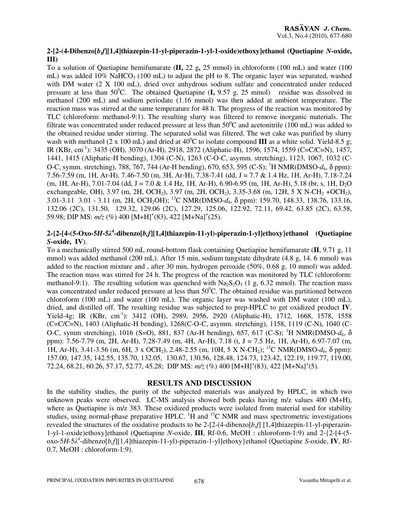#### **2-[2-(4-Dibenzo[***b***,***f***][1,4]thiazepin-11-yl-piperazin-1-yl-1-oxide)ethoxy]ethanol (Quetiapine** *N***-oxide, III)**

To a solution of Quetiapine hemifumarate (**II,** 22 g**,** 25 mmol) in chloroform (100 mL) and water (100 mL) was added  $10\%$  NaHCO<sub>3</sub> (100 mL) to adjust the pH to 8. The organic layer was separated, washed with DM water (2 X 100 mL), dried over anhydrous sodium sulfate and concentrated under reduced pressure at less than  $50^{\circ}$ C. The obtained Quetiapine  $(I, 9.57 g, 25 mmol)$  residue was dissolved in methanol (200 mL) and sodium periodate (1.16 mmol) was then added at ambient temperature. The reaction mass was stirred at the same temperature for 48 h. The progress of the reaction was monitored by TLC (chloroform: methanol-9:1). The resulting slurry was filtered to remove inorganic materials. The filtrate was concentrated under reduced pressure at less than  $50^{\circ}$ C and acetonitrile (100 mL) was added to the obtained residue under stirring. The separated solid was filtered. The wet cake was purified by slurry wash with methanol (2 x 100 mL) and dried at  $40^{\circ}$ C to isolate compound **III** as a white solid. Yield-8.5 g; IR (KBr, cm-1): 3435 (OH), 3070 (Ar-H), 2918, 2872 (Aliphatic-H), 1596, 1574, 1559 (C=C/C=N), 1457, 1441, 1415 (Aliphatic-H bending), 1304 (C-N), 1263 (C-O-C, asymm. stretching), 1123, 1067, 1032 (C-O-C, symm. stretching), 788, 767, 744 (Ar-H bending), 670, 653, 595 (C-S); <sup>1</sup>H NMR(DMSO-*d*6, δ ppm): 7.56-7.59 (m, 1H, Ar-H), 7.46-7.50 (m, 3H, Ar-H), 7.38-7.41 (dd, J = 7.7 & 1.4 Hz, 1H, Ar-H), 7.18-7.24  $(m, 1H, Ar-H)$ , 7.01-7.04 (dd, J = 7.0 & 1.4 Hz, 1H, Ar-H), 6.90-6.95  $(m, 1H, Ar-H)$ , 5.18 (br, s, 1H, D<sub>2</sub>O exchangeable, OH), 3.97 (m, 2H, OCH<sub>2</sub>), 3.97 (m, 2H, OCH<sub>2</sub>), 3.35-3.68 (m, 12H, 5 X N-CH<sub>2</sub> +OCH<sub>2</sub>), 3.01-3.11 3.01 - 3.11 (m, 2H, OCH2OH); <sup>13</sup>C NMR(DMSO-*d*6, δ ppm): 159.70, 148.33, 138.76, 133.16, 132.06 (2C), 131.50, 129.32, 129.06 (2C), 127.29, 125.06, 122.92, 72.11, 69.42, 63.85 (2C), 63.58, 59.98; DIP MS:  $m/z$  (%) 400 [M+H]<sup>+</sup>(83), 422 [M+Na]<sup>+</sup>(25).

### **2-{2-[4-(5-Oxo-5***H***-5**λ **4 -dibenzo[***b,f***][1,4]thiazepin-11-yl)-piperazin-1-yl]ethoxy}ethanol (Quetiapine**  *S***-oxide, IV**).

To a mechanically stirred 500 mL round-bottom flask containing Quetiapine hemifumarate (**II**, 9.71 g, 11 mmol) was added methanol (200 mL). After 15 min, sodium tungstate dihydrate (4.8 g, 14. 6 mmol) was added to the reaction mixture and , after 30 min, hydrogen peroxide (50%, 0.68 g, 10 mmol) was added. The reaction mass was stirred for 24 h. The progress of the reaction was monitored by TLC (chloroform: methanol-9:1). The resulting solution was quenched with  $Na<sub>2</sub>S<sub>2</sub>O<sub>3</sub>$  (1 g, 6.32 mmol). The reaction mass was concentrated under reduced pressure at less than  $50^{\circ}$ C. The obtained residue was partitioned between chloroform (100 mL) and water (100 mL). The organic layer was washed with DM water (100 mL), dried, and distilled off. The resulting residue was subjected to prep-HPLC to get oxidized product **IV**. Yield-4g; IR (KBr, cm<sup>-1</sup>): 3412 (OH), 2989, 2956, 2920 (Aliphatic-H), 1712, 1668, 1578, 1558 (C=C/C=N), 1403 (Aliphatic-H bending), 1268(C-O-C, asymm. stretching), 1158, 1119 (C-N), 1040 (C-O-C, symm stretching), 1016 (S=O), 881, 837 (Ar-H bending), 657, 617 (C-S); <sup>1</sup>H NMR(DMSO-*d*6, δ ppm): 7.56-7.79 (m, 2H, Ar-H), 7.28-7.49 (m, 4H, Ar-H), 7.18 (t, J = 7.5 Hz, 1H, Ar-H), 6.97-7.07 (m, 1H, Ar-H), 3.41-3.56 (m, 6H, 3 x OCH<sub>2</sub>), 2.48-2.55 (m, 10H, 5 X N-CH<sub>2</sub>); <sup>13</sup>C NMR(DMSO-d<sub>6</sub>, δ ppm): 157.00, 147.35, 142.55, 135.70, 132.05, 130.67, 130.56, 128.48, 124.73, 123.42, 122.19, 119.77, 119.00, 72.24, 68.21, 60.26, 57.17, 52.77, 45.28; DIP MS:  $m/z$  (%) 400 [M+H]<sup>+</sup>(83), 422 [M+Na]<sup>+</sup>(5).

#### **RESULTS AND DISCUSSION**

In the stability studies, the purity of the subjected materials was analyzed by HPLC, in which two unknown peaks were observed. LC-MS analysis showed both peaks having m/z values 400 (M+H), where as Quetiapine is m/z 383. These oxidized products were isolated from material used for stability studies, using normal-phase preparative HPLC.  ${}^{1}\hat{H}$  and  ${}^{13}$ C NMR and mass spectrometric investigations revealed the structures of the oxidative products to be 2-[2-(4-dibenzo[*b*,*f*] [1,4]thiazepin-11-yl-piperazin-1-yl-1-oxide)ethoxy]ethanol (Quetiapine *N*-oxide, **III**, Rf-0.6, MeOH : chloroform-1:9) and 2-{2-[4-(5 oxo-5*H*-5λ 4 -dibenzo[*b,f*][1,4]thiazepin-11-yl)-piperazin-1-yl]ethoxy}ethanol (Quetiapine *S*-oxide, **IV**, Rf-0.7, MeOH : chloroform-1:9).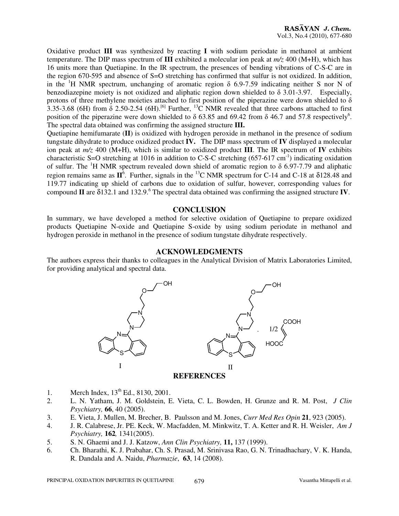Oxidative product **III** was synthesized by reacting **I** with sodium periodate in methanol at ambient temperature. The DIP mass spectrum of **III** exhibited a molecular ion peak at  $m/z$  400 (M+H), which has 16 units more than Quetiapine. In the IR spectrum, the presences of bending vibrations of C-S-C are in the region 670-595 and absence of S=O stretching has confirmed that sulfur is not oxidized. In addition, in the <sup>1</sup>H NMR spectrum, unchanging of aromatic region  $\delta$  6.9-7.59 indicating neither S nor N of benzodiazepine moiety is not oxidized and aliphatic region down shielded to δ 3.01-3.97. Especially, protons of three methylene moieties attached to first position of the piperazine were down shielded to  $\delta$ 3.35-3.68 (6H) from  $\dot{\delta}$  2.50-2.54 (6H).<sup>[6]</sup> Further, <sup>13</sup>C NMR revealed that three carbons attached to first position of the piperazine were down shielded to  $\delta$  63.85 and 69.42 from  $\delta$  46.7 and 57.8 respectively<sup>6</sup>. The spectral data obtained was confirming the assigned structure **III.** 

Quetiapine hemifumarate (**II**) is oxidized with hydrogen peroxide in methanol in the presence of sodium tungstate dihydrate to produce oxidized product **IV.** The DIP mass spectrum of **IV** displayed a molecular ion peak at *m/z* 400 (M+H), which is similar to oxidized product **III**. The IR spectrum of **IV** exhibits characteristic S=O stretching at 1016 in addition to C-S-C stretching  $(657-617 \text{ cm}^{-1})$  indicating oxidation of sulfur. The <sup>1</sup>H NMR spectrum revealed down shield of aromatic region to  $\delta$  6.97-7.79 and aliphatic region remains same as  $\mathbf{I}^6$ . Further, signals in the <sup>13</sup>C NMR spectrum for C-14 and C-18 at  $\delta$ 128.48 and 119.77 indicating up shield of carbons due to oxidation of sulfur, however, corresponding values for compound **II** are  $\delta$ 132.1 and 132.9.<sup>6</sup> The spectral data obtained was confirming the assigned structure **IV**.

#### **CONCLUSION**

In summary, we have developed a method for selective oxidation of Quetiapine to prepare oxidized products Quetiapine N-oxide and Quetiapine S-oxide by using sodium periodate in methanol and hydrogen peroxide in methanol in the presence of sodium tungstate dihydrate respectively.

#### **ACKNOWLEDGMENTS**

The authors express their thanks to colleagues in the Analytical Division of Matrix Laboratories Limited, for providing analytical and spectral data.



- 1. Merch Index,  $13^{th}$  Ed., 8130, 2001.
- 2. L. N. Yatham, J. M. Goldstein, E. Vieta, C. L. Bowden, H. Grunze and R. M. Post, *J Clin Psychiatry,* **66**, 40 (2005).
- 3. E. Vieta, J. Mullen, M. Brecher, B. Paulsson and M. Jones, *Curr Med Res Opin* **21**, 923 (2005).
- 4. J. R. Calabrese, Jr. PE. Keck, W. Macfadden, M. Minkwitz, T. A. Ketter and R. H. Weisler, *Am J Psychiatry,* **162***,* 1341(2005).
- 5. S. N. Ghaemi and J. J. Katzow, *Ann Clin Psychiatry,* **11,** 137 (1999).
- 6. Ch. Bharathi, K. J. Prabahar, Ch. S. Prasad, M. Srinivasa Rao, G. N. Trinadhachary, V. K. Handa, R. Dandala and A. Naidu, *Pharmazie*, **63**, 14 (2008).